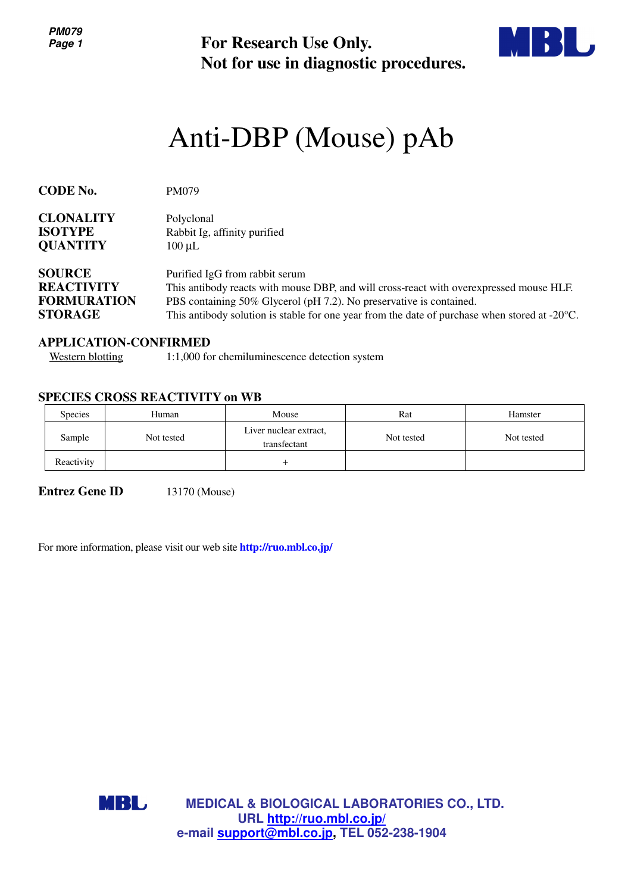**PM079 Page 1**

**For Research Use Only. Not for use in diagnostic procedures.**



# Anti-DBP (Mouse) pAb

| <b>CODE No.</b>                    | <b>PM079</b>                                                                                            |  |  |
|------------------------------------|---------------------------------------------------------------------------------------------------------|--|--|
| <b>CLONALITY</b><br><b>ISOTYPE</b> | Polyclonal<br>Rabbit Ig, affinity purified                                                              |  |  |
| <b>QUANTITY</b>                    | $100 \mu L$                                                                                             |  |  |
| <b>SOURCE</b>                      | Purified IgG from rabbit serum                                                                          |  |  |
| <b>REACTIVITY</b>                  | This antibody reacts with mouse DBP, and will cross-react with overexpressed mouse HLF.                 |  |  |
| <b>FORMURATION</b>                 | PBS containing 50% Glycerol (pH 7.2). No preservative is contained.                                     |  |  |
| <b>STORAGE</b>                     | This antibody solution is stable for one year from the date of purchase when stored at $-20^{\circ}$ C. |  |  |

#### **APPLICATION-CONFIRMED**

Western blotting 1:1,000 for chemiluminescence detection system

#### **SPECIES CROSS REACTIVITY on WB**

| <b>Species</b> | Human      | Mouse                                  | Rat        | Hamster    |
|----------------|------------|----------------------------------------|------------|------------|
| Sample         | Not tested | Liver nuclear extract,<br>transfectant | Not tested | Not tested |
| Reactivity     |            |                                        |            |            |

**Entrez Gene ID** 13170 (Mouse)

For more information, please visit our web site **http://ruo.mbl.co.jp/**



**MEDICAL & BIOLOGICAL LABORATORIES CO., LTD. URL http://ruo.mbl.co.jp/ e-mail support@mbl.co.jp, TEL 052-238-1904**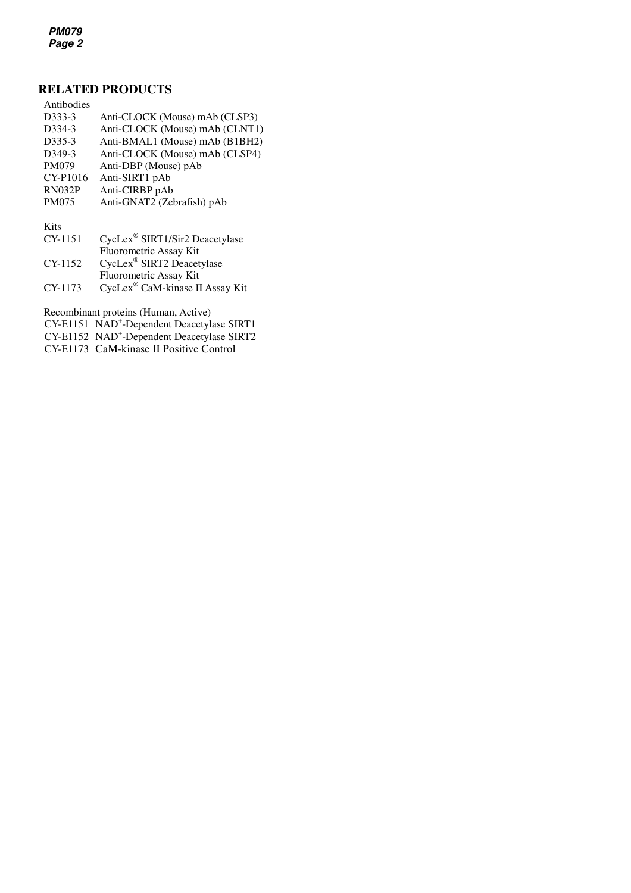**PM079 Page 2**

# **RELATED PRODUCTS**

| Antibodies          |                                            |
|---------------------|--------------------------------------------|
| D333-3              | Anti-CLOCK (Mouse) mAb (CLSP3)             |
| D334-3              | Anti-CLOCK (Mouse) mAb (CLNT1)             |
| D <sub>335</sub> -3 | Anti-BMAL1 (Mouse) mAb (B1BH2)             |
| D349-3              | Anti-CLOCK (Mouse) mAb (CLSP4)             |
| <b>PM079</b>        | Anti-DBP (Mouse) pAb                       |
| CY-P1016            | Anti-SIRT1 pAb                             |
| <b>RN032P</b>       | Anti-CIRBP pAb                             |
| <b>PM075</b>        | Anti-GNAT2 (Zebrafish) pAb                 |
|                     |                                            |
| Kits                |                                            |
| CY-1151             | CycLex <sup>®</sup> SIRT1/Sir2 Deacetylase |
|                     | Fluorometric Assay Kit                     |
| CY-1152             | CycLex <sup>®</sup> SIRT2 Deacetylase      |
|                     | Fluorometric Assay Kit                     |

CY-1173 CycLex<sup>®</sup> CaM-kinase II Assay Kit

Recombinant proteins (Human, Active)

CY-E1151 NAD<sup>+</sup>-Dependent Deacetylase SIRT1

CY-E1152 NAD<sup>+</sup> -Dependent Deacetylase SIRT2

CY-E1173 CaM-kinase II Positive Control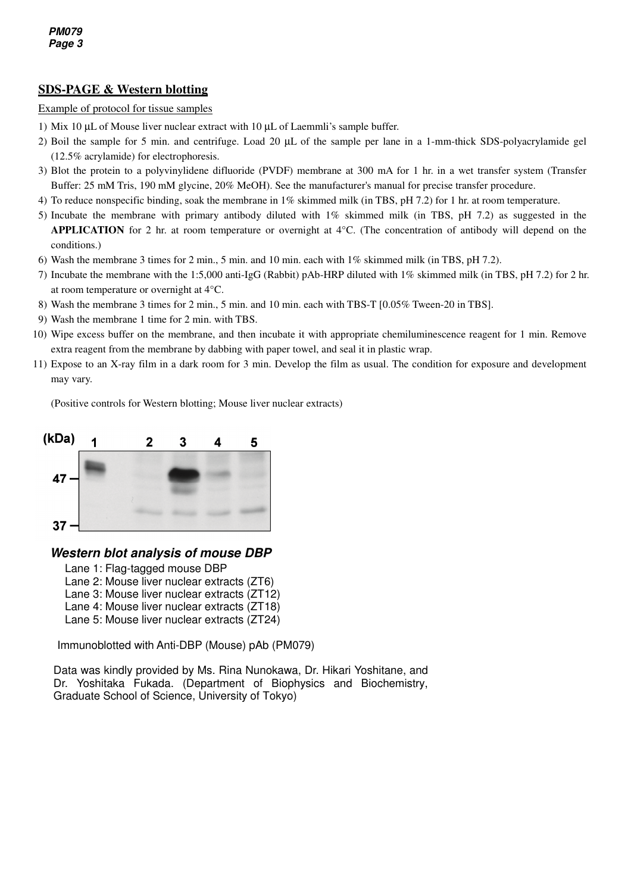## **SDS-PAGE & Western blotting**

#### Example of protocol for tissue samples

- 1) Mix 10 µL of Mouse liver nuclear extract with 10 µL of Laemmli's sample buffer.
- 2) Boil the sample for 5 min. and centrifuge. Load 20 µL of the sample per lane in a 1-mm-thick SDS-polyacrylamide gel (12.5% acrylamide) for electrophoresis.
- 3) Blot the protein to a polyvinylidene difluoride (PVDF) membrane at 300 mA for 1 hr. in a wet transfer system (Transfer Buffer: 25 mM Tris, 190 mM glycine, 20% MeOH). See the manufacturer's manual for precise transfer procedure.
- 4) To reduce nonspecific binding, soak the membrane in 1% skimmed milk (in TBS, pH 7.2) for 1 hr. at room temperature.
- 5) Incubate the membrane with primary antibody diluted with 1% skimmed milk (in TBS, pH 7.2) as suggested in the **APPLICATION** for 2 hr. at room temperature or overnight at 4°C. (The concentration of antibody will depend on the conditions.)
- 6) Wash the membrane 3 times for 2 min., 5 min. and 10 min. each with 1% skimmed milk (in TBS, pH 7.2).
- 7) Incubate the membrane with the 1:5,000 anti-IgG (Rabbit) pAb-HRP diluted with 1% skimmed milk (in TBS, pH 7.2) for 2 hr. at room temperature or overnight at 4°C.
- 8) Wash the membrane 3 times for 2 min., 5 min. and 10 min. each with TBS-T [0.05% Tween-20 in TBS].
- 9) Wash the membrane 1 time for 2 min. with TBS.
- 10) Wipe excess buffer on the membrane, and then incubate it with appropriate chemiluminescence reagent for 1 min. Remove extra reagent from the membrane by dabbing with paper towel, and seal it in plastic wrap.
- 11) Expose to an X-ray film in a dark room for 3 min. Develop the film as usual. The condition for exposure and development may vary.

(Positive controls for Western blotting; Mouse liver nuclear extracts)



### **Western blot analysis of mouse DBP**

- Lane 1: Flag-tagged mouse DBP
- Lane 2: Mouse liver nuclear extracts (ZT6)
- Lane 3: Mouse liver nuclear extracts (ZT12)
- Lane 4: Mouse liver nuclear extracts (ZT18)
- Lane 5: Mouse liver nuclear extracts (ZT24)

Immunoblotted with Anti-DBP (Mouse) pAb (PM079)

Data was kindly provided by Ms. Rina Nunokawa, Dr. Hikari Yoshitane, and Dr. Yoshitaka Fukada. (Department of Biophysics and Biochemistry, Graduate School of Science, University of Tokyo)